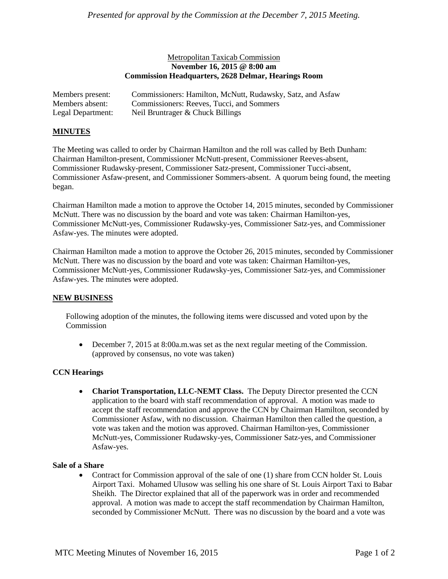## Metropolitan Taxicab Commission **November 16, 2015 @ 8:00 am Commission Headquarters, 2628 Delmar, Hearings Room**

| Members present:  | Commissioners: Hamilton, McNutt, Rudawsky, Satz, and Asfaw |
|-------------------|------------------------------------------------------------|
| Members absent:   | Commissioners: Reeves, Tucci, and Sommers                  |
| Legal Department: | Neil Bruntrager & Chuck Billings                           |

### **MINUTES**

The Meeting was called to order by Chairman Hamilton and the roll was called by Beth Dunham: Chairman Hamilton-present, Commissioner McNutt-present, Commissioner Reeves-absent, Commissioner Rudawsky-present, Commissioner Satz-present, Commissioner Tucci-absent, Commissioner Asfaw-present, and Commissioner Sommers-absent. A quorum being found, the meeting began.

Chairman Hamilton made a motion to approve the October 14, 2015 minutes, seconded by Commissioner McNutt. There was no discussion by the board and vote was taken: Chairman Hamilton-yes, Commissioner McNutt-yes, Commissioner Rudawsky-yes, Commissioner Satz-yes, and Commissioner Asfaw-yes. The minutes were adopted.

Chairman Hamilton made a motion to approve the October 26, 2015 minutes, seconded by Commissioner McNutt. There was no discussion by the board and vote was taken: Chairman Hamilton-yes, Commissioner McNutt-yes, Commissioner Rudawsky-yes, Commissioner Satz-yes, and Commissioner Asfaw-yes. The minutes were adopted.

## **NEW BUSINESS**

Following adoption of the minutes, the following items were discussed and voted upon by the Commission

 December 7, 2015 at 8:00a.m.was set as the next regular meeting of the Commission. (approved by consensus, no vote was taken)

## **CCN Hearings**

 **Chariot Transportation, LLC-NEMT Class.** The Deputy Director presented the CCN application to the board with staff recommendation of approval. A motion was made to accept the staff recommendation and approve the CCN by Chairman Hamilton, seconded by Commissioner Asfaw, with no discussion. Chairman Hamilton then called the question, a vote was taken and the motion was approved. Chairman Hamilton-yes, Commissioner McNutt-yes, Commissioner Rudawsky-yes, Commissioner Satz-yes, and Commissioner Asfaw-yes.

#### **Sale of a Share**

• Contract for Commission approval of the sale of one (1) share from CCN holder St. Louis Airport Taxi. Mohamed Ulusow was selling his one share of St. Louis Airport Taxi to Babar Sheikh. The Director explained that all of the paperwork was in order and recommended approval. A motion was made to accept the staff recommendation by Chairman Hamilton, seconded by Commissioner McNutt. There was no discussion by the board and a vote was